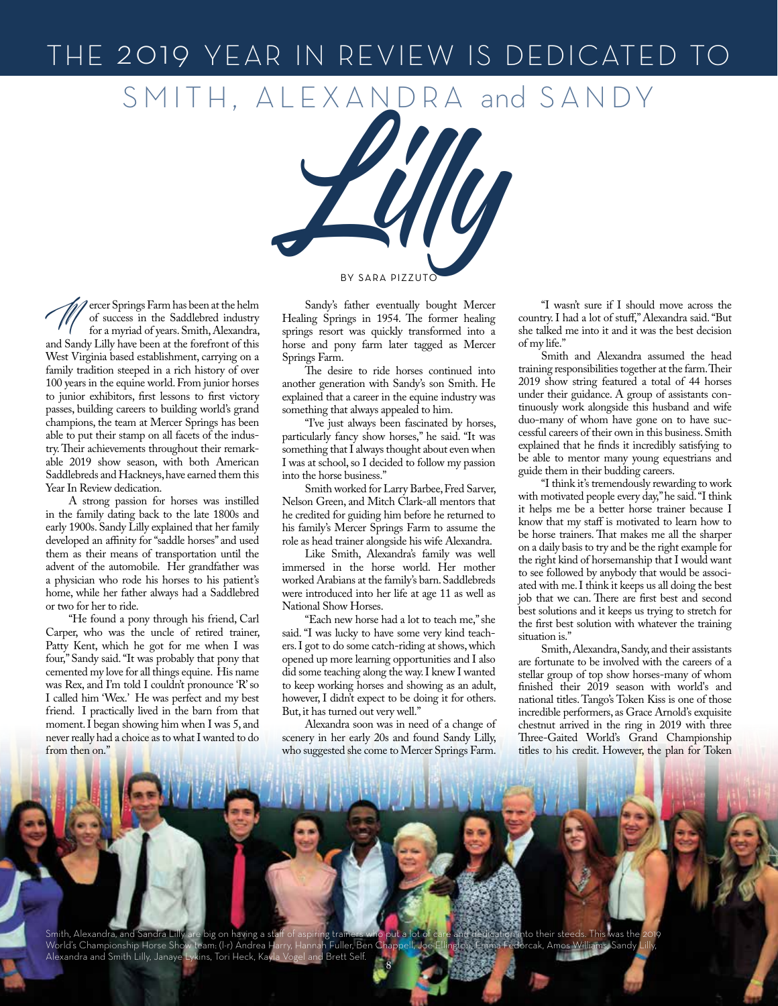## THE 2019 YEAR IN REVIEW IS DEDICATED TO

SMITH, ALEXANDRA and SANDY



Farm has been at the helm<br>of success in the Saddlebred industry<br>for a myriad of years. Smith, Alexandra, of success in the Saddlebred industry for a myriad of years. Smith, Alexandra, and Sandy Lilly have been at the forefront of this West Virginia based establishment, carrying on a family tradition steeped in a rich history of over 100 years in the equine world. From junior horses to junior exhibitors, first lessons to first victory passes, building careers to building world's grand champions, the team at Mercer Springs has been able to put their stamp on all facets of the industry. Their achievements throughout their remarkable 2019 show season, with both American Saddlebreds and Hackneys, have earned them this Year In Review dedication.

A strong passion for horses was instilled in the family dating back to the late 1800s and early 1900s. Sandy Lilly explained that her family developed an affinity for "saddle horses" and used them as their means of transportation until the advent of the automobile. Her grandfather was a physician who rode his horses to his patient's home, while her father always had a Saddlebred or two for her to ride.

"He found a pony through his friend, Carl Carper, who was the uncle of retired trainer, Patty Kent, which he got for me when I was four," Sandy said. "It was probably that pony that cemented my love for all things equine. His name was Rex, and I'm told I couldn't pronounce 'R' so I called him 'Wex.' He was perfect and my best friend. I practically lived in the barn from that moment. I began showing him when I was 5, and never really had a choice as to what I wanted to do from then on."

Sandy's father eventually bought Mercer Healing Springs in 1954. The former healing springs resort was quickly transformed into a horse and pony farm later tagged as Mercer Springs Farm.

The desire to ride horses continued into another generation with Sandy's son Smith. He explained that a career in the equine industry was something that always appealed to him.

"I've just always been fascinated by horses, particularly fancy show horses," he said. "It was something that I always thought about even when I was at school, so I decided to follow my passion into the horse business."

Smith worked for Larry Barbee, Fred Sarver, Nelson Green, and Mitch Clark-all mentors that he credited for guiding him before he returned to his family's Mercer Springs Farm to assume the role as head trainer alongside his wife Alexandra.

Like Smith, Alexandra's family was well immersed in the horse world. Her mother worked Arabians at the family's barn. Saddlebreds were introduced into her life at age 11 as well as National Show Horses.

"Each new horse had a lot to teach me," she said. "I was lucky to have some very kind teachers. I got to do some catch-riding at shows, which opened up more learning opportunities and I also did some teaching along the way. I knew I wanted to keep working horses and showing as an adult, however, I didn't expect to be doing it for others. But, it has turned out very well."

Alexandra soon was in need of a change of scenery in her early 20s and found Sandy Lilly, who suggested she come to Mercer Springs Farm.

"I wasn't sure if I should move across the country. I had a lot of stuff," Alexandra said. "But she talked me into it and it was the best decision of my life."

Smith and Alexandra assumed the head training responsibilities together at the farm. Their 2019 show string featured a total of 44 horses under their guidance. A group of assistants continuously work alongside this husband and wife duo-many of whom have gone on to have successful careers of their own in this business. Smith explained that he finds it incredibly satisfying to be able to mentor many young equestrians and guide them in their budding careers.

"I think it's tremendously rewarding to work with motivated people every day," he said. "I think it helps me be a better horse trainer because I know that my staff is motivated to learn how to be horse trainers. That makes me all the sharper on a daily basis to try and be the right example for the right kind of horsemanship that I would want to see followed by anybody that would be associated with me. I think it keeps us all doing the best job that we can. There are first best and second best solutions and it keeps us trying to stretch for the first best solution with whatever the training situation is."

Smith, Alexandra, Sandy, and their assistants are fortunate to be involved with the careers of a stellar group of top show horses-many of whom finished their 2019 season with world's and national titles. Tango's Token Kiss is one of those incredible performers, as Grace Arnold's exquisite chestnut arrived in the ring in 2019 with three Three-Gaited World's Grand Championship titles to his credit. However, the plan for Token

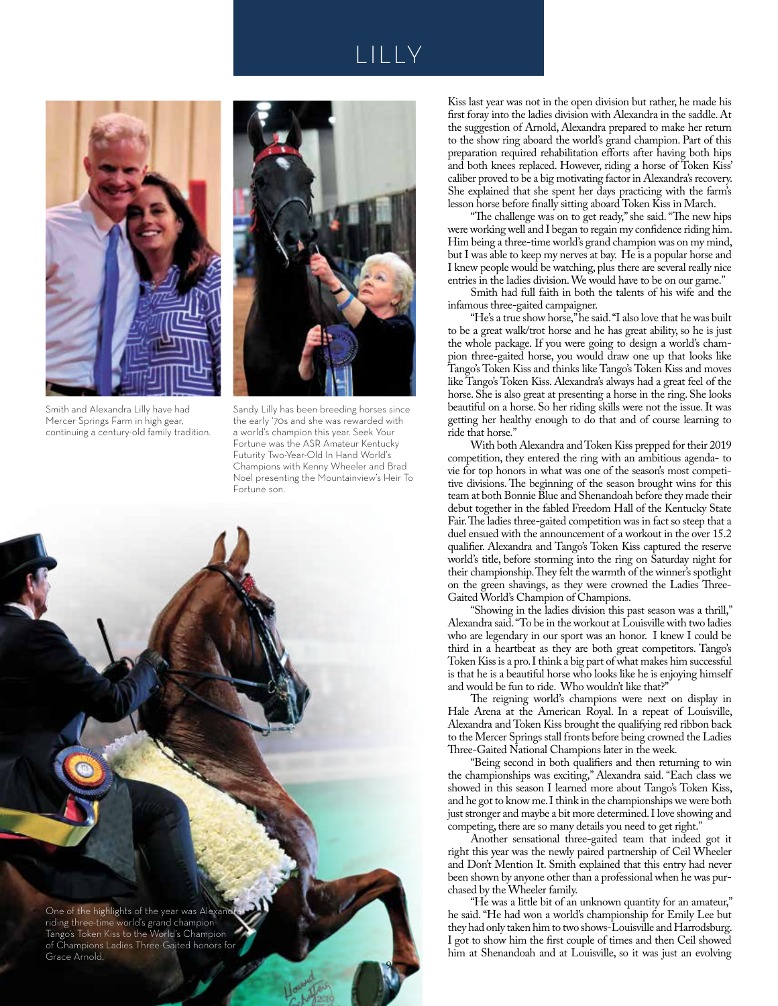## LILLY



Smith and Alexandra Lilly have had Mercer Springs Farm in high gear, continuing a century-old family tradition.



Sandy Lilly has been breeding horses since the early '70s and she was rewarded with a world's champion this year. Seek Your Fortune was the ASR Amateur Kentucky Futurity Two-Year-Old In Hand World's Champions with Kenny Wheeler and Brad Noel presenting the Mountainview's Heir To Fortune son.

9

One of the highlights of the year was Alexand riding three-time world's grand champion Tango's Token Kiss to the World's Champion of Champions Ladies Three-Gaited honors for Grace Arnold.

Kiss last year was not in the open division but rather, he made his first foray into the ladies division with Alexandra in the saddle. At the suggestion of Arnold, Alexandra prepared to make her return to the show ring aboard the world's grand champion. Part of this preparation required rehabilitation efforts after having both hips and both knees replaced. However, riding a horse of Token Kiss' caliber proved to be a big motivating factor in Alexandra's recovery. She explained that she spent her days practicing with the farm's lesson horse before finally sitting aboard Token Kiss in March.

"The challenge was on to get ready," she said. "The new hips were working well and I began to regain my confidence riding him. Him being a three-time world's grand champion was on my mind, but I was able to keep my nerves at bay. He is a popular horse and I knew people would be watching, plus there are several really nice entries in the ladies division. We would have to be on our game."

Smith had full faith in both the talents of his wife and the infamous three-gaited campaigner.

"He's a true show horse," he said. "I also love that he was built to be a great walk/trot horse and he has great ability, so he is just the whole package. If you were going to design a world's champion three-gaited horse, you would draw one up that looks like Tango's Token Kiss and thinks like Tango's Token Kiss and moves like Tango's Token Kiss. Alexandra's always had a great feel of the horse. She is also great at presenting a horse in the ring. She looks beautiful on a horse. So her riding skills were not the issue. It was getting her healthy enough to do that and of course learning to ride that horse."

With both Alexandra and Token Kiss prepped for their 2019 competition, they entered the ring with an ambitious agenda- to vie for top honors in what was one of the season's most competitive divisions. The beginning of the season brought wins for this team at both Bonnie Blue and Shenandoah before they made their debut together in the fabled Freedom Hall of the Kentucky State Fair. The ladies three-gaited competition was in fact so steep that a duel ensued with the announcement of a workout in the over 15.2 qualifier. Alexandra and Tango's Token Kiss captured the reserve world's title, before storming into the ring on Saturday night for their championship. They felt the warmth of the winner's spotlight on the green shavings, as they were crowned the Ladies Three-Gaited World's Champion of Champions.

"Showing in the ladies division this past season was a thrill," Alexandra said. "To be in the workout at Louisville with two ladies who are legendary in our sport was an honor. I knew I could be third in a heartbeat as they are both great competitors. Tango's Token Kiss is a pro. I think a big part of what makes him successful is that he is a beautiful horse who looks like he is enjoying himself and would be fun to ride. Who wouldn't like that?"

The reigning world's champions were next on display in Hale Arena at the American Royal. In a repeat of Louisville, Alexandra and Token Kiss brought the qualifying red ribbon back to the Mercer Springs stall fronts before being crowned the Ladies Three-Gaited National Champions later in the week.

"Being second in both qualifiers and then returning to win the championships was exciting," Alexandra said. "Each class we showed in this season I learned more about Tango's Token Kiss, and he got to know me. I think in the championships we were both just stronger and maybe a bit more determined. I love showing and competing, there are so many details you need to get right."

Another sensational three-gaited team that indeed got it right this year was the newly paired partnership of Ceil Wheeler and Don't Mention It. Smith explained that this entry had never been shown by anyone other than a professional when he was purchased by the Wheeler family.

"He was a little bit of an unknown quantity for an amateur," he said. "He had won a world's championship for Emily Lee but they had only taken him to two shows-Louisville and Harrodsburg. I got to show him the first couple of times and then Ceil showed him at Shenandoah and at Louisville, so it was just an evolving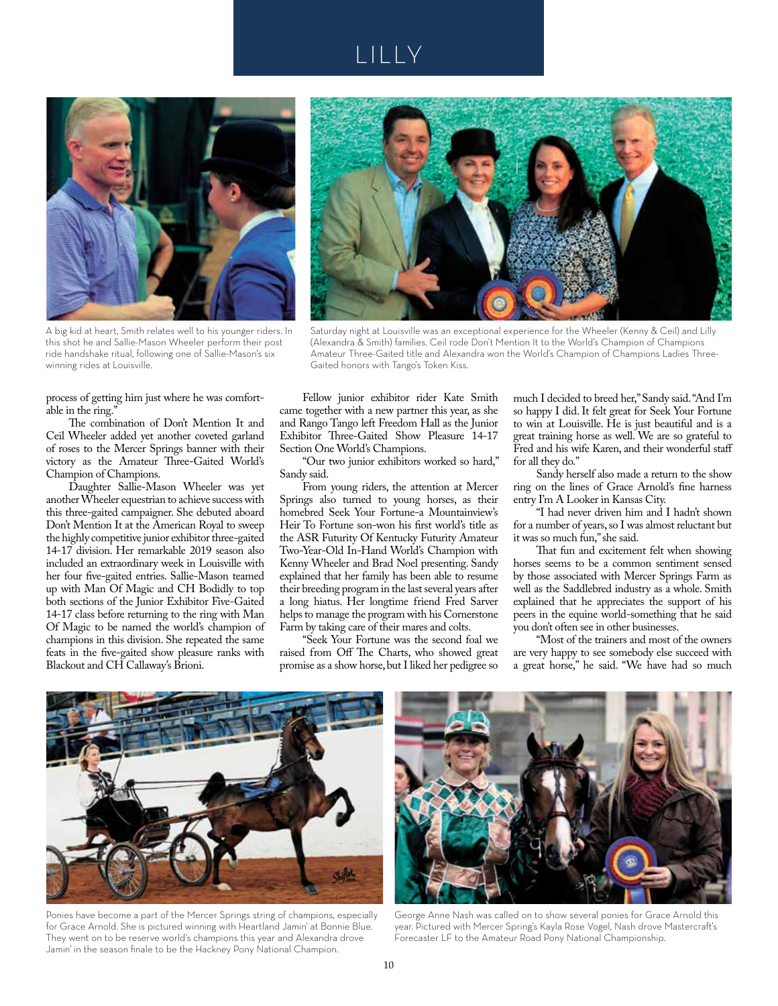## LILLY



A big kid at heart, Smith relates well to his younger riders. In this shot he and Sallie-Mason Wheeler perform their post ride handshake ritual, following one of Sallie-Mason's six winning rides at Louisville.



Saturday night at Louisville was an exceptional experience for the Wheeler (Kenny & Ceil) and Lilly (Alexandra & Smith) families. Ceil rode Don't Mention It to the World's Champion of Champions Amateur Three-Gaited title and Alexandra won the World's Champion of Champions Ladies Three-Gaited honors with Tango's Token Kiss.

process of getting him just where he was comfortable in the ring."

The combination of Don't Mention It and Ceil Wheeler added yet another coveted garland of roses to the Mercer Springs banner with their victory as the Amateur Three-Gaited World's Champion of Champions.

Daughter Sallie-Mason Wheeler was yet another Wheeler equestrian to achieve success with this three-gaited campaigner. She debuted aboard Don't Mention It at the American Royal to sweep the highly competitive junior exhibitor three-gaited 14-17 division. Her remarkable 2019 season also included an extraordinary week in Louisville with her four five-gaited entries. Sallie-Mason teamed up with Man Of Magic and CH Bodidly to top both sections of the Junior Exhibitor Five-Gaited 14-17 class before returning to the ring with Man Of Magic to be named the world's champion of champions in this division. She repeated the same feats in the five-gaited show pleasure ranks with Blackout and CH Callaway's Brioni.

Fellow junior exhibitor rider Kate Smith came together with a new partner this year, as she and Rango Tango left Freedom Hall as the Junior Exhibitor Three-Gaited Show Pleasure 14-17 Section One World's Champions.

"Our two junior exhibitors worked so hard," Sandy said.

From young riders, the attention at Mercer Springs also turned to young horses, as their homebred Seek Your Fortune-a Mountainview's Heir To Fortune son-won his first world's title as the ASR Futurity Of Kentucky Futurity Amateur Two-Year-Old In-Hand World's Champion with Kenny Wheeler and Brad Noel presenting. Sandy explained that her family has been able to resume their breeding program in the last several years after a long hiatus. Her longtime friend Fred Sarver helps to manage the program with his Cornerstone Farm by taking care of their mares and colts.

"Seek Your Fortune was the second foal we raised from Off The Charts, who showed great promise as a show horse, but I liked her pedigree so

much I decided to breed her," Sandy said. "And I'm so happy I did. It felt great for Seek Your Fortune to win at Louisville. He is just beautiful and is a great training horse as well. We are so grateful to Fred and his wife Karen, and their wonderful staff for all they do."

Sandy herself also made a return to the show ring on the lines of Grace Arnold's fine harness entry I'm A Looker in Kansas City.

"I had never driven him and I hadn't shown for a number of years, so I was almost reluctant but it was so much fun," she said.

That fun and excitement felt when showing horses seems to be a common sentiment sensed by those associated with Mercer Springs Farm as well as the Saddlebred industry as a whole. Smith explained that he appreciates the support of his peers in the equine world-something that he said you don't often see in other businesses.

"Most of the trainers and most of the owners are very happy to see somebody else succeed with a great horse," he said. "We have had so much



Ponies have become a part of the Mercer Springs string of champions, especially for Grace Arnold. She is pictured winning with Heartland Jamin' at Bonnie Blue. They went on to be reserve world's champions this year and Alexandra drove Jamin' in the season finale to be the Hackney Pony National Champion.



George Anne Nash was called on to show several ponies for Grace Arnold this year. Pictured with Mercer Spring's Kayla Rose Vogel, Nash drove Mastercraft's Forecaster LF to the Amateur Road Pony National Championship.